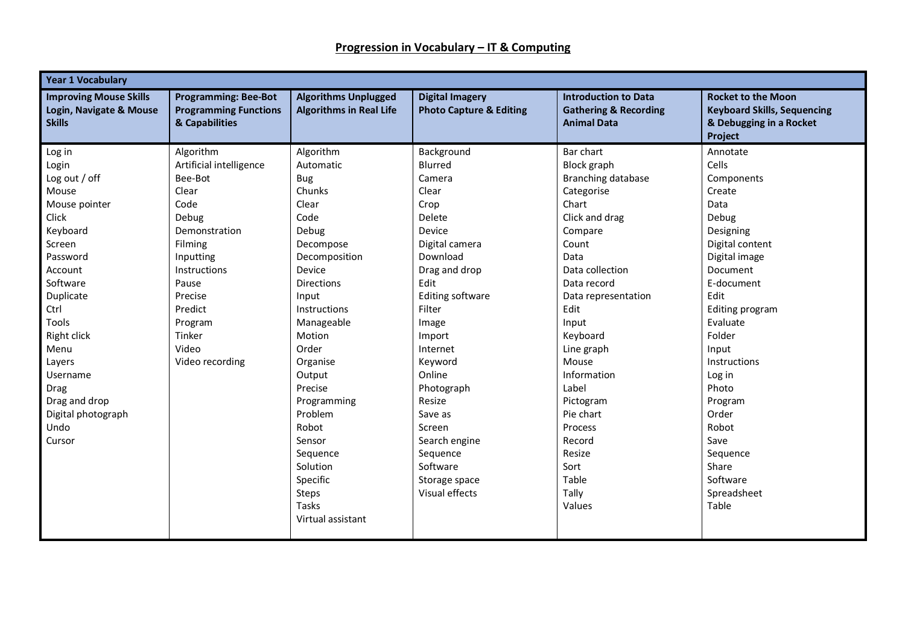| <b>Year 1 Vocabulary</b>                                                  |                                                                               |                                                               |                                                              |                                                                                       |                                                                                                       |  |
|---------------------------------------------------------------------------|-------------------------------------------------------------------------------|---------------------------------------------------------------|--------------------------------------------------------------|---------------------------------------------------------------------------------------|-------------------------------------------------------------------------------------------------------|--|
| <b>Improving Mouse Skills</b><br>Login, Navigate & Mouse<br><b>Skills</b> | <b>Programming: Bee-Bot</b><br><b>Programming Functions</b><br>& Capabilities | <b>Algorithms Unplugged</b><br><b>Algorithms in Real Life</b> | <b>Digital Imagery</b><br><b>Photo Capture &amp; Editing</b> | <b>Introduction to Data</b><br><b>Gathering &amp; Recording</b><br><b>Animal Data</b> | <b>Rocket to the Moon</b><br><b>Keyboard Skills, Sequencing</b><br>& Debugging in a Rocket<br>Project |  |
| Log in                                                                    | Algorithm                                                                     | Algorithm                                                     | Background                                                   | Bar chart                                                                             | Annotate                                                                                              |  |
| Login                                                                     | Artificial intelligence                                                       | Automatic                                                     | Blurred                                                      | Block graph                                                                           | Cells                                                                                                 |  |
| Log out / off                                                             | Bee-Bot                                                                       | <b>Bug</b>                                                    | Camera                                                       | Branching database                                                                    | Components                                                                                            |  |
| Mouse                                                                     | Clear                                                                         | Chunks                                                        | Clear                                                        | Categorise                                                                            | Create                                                                                                |  |
| Mouse pointer                                                             | Code                                                                          | Clear                                                         | Crop                                                         | Chart                                                                                 | Data                                                                                                  |  |
| Click                                                                     | Debug                                                                         | Code                                                          | Delete                                                       | Click and drag                                                                        | Debug                                                                                                 |  |
| Keyboard                                                                  | Demonstration                                                                 | Debug                                                         | Device                                                       | Compare                                                                               | Designing                                                                                             |  |
| Screen                                                                    | Filming                                                                       | Decompose                                                     | Digital camera                                               | Count                                                                                 | Digital content                                                                                       |  |
| Password                                                                  | Inputting                                                                     | Decomposition                                                 | Download                                                     | Data                                                                                  | Digital image                                                                                         |  |
| Account                                                                   | Instructions                                                                  | Device                                                        | Drag and drop                                                | Data collection                                                                       | <b>Document</b>                                                                                       |  |
| Software                                                                  | Pause                                                                         | <b>Directions</b>                                             | Edit                                                         | Data record                                                                           | E-document                                                                                            |  |
| Duplicate                                                                 | Precise                                                                       | Input                                                         | <b>Editing software</b>                                      | Data representation                                                                   | Edit                                                                                                  |  |
| Ctrl                                                                      | Predict                                                                       | Instructions                                                  | Filter                                                       | Edit                                                                                  | Editing program                                                                                       |  |
| Tools                                                                     | Program                                                                       | Manageable                                                    | Image                                                        | Input                                                                                 | Evaluate                                                                                              |  |
| Right click                                                               | Tinker                                                                        | Motion                                                        | Import                                                       | Keyboard                                                                              | Folder                                                                                                |  |
| Menu                                                                      | Video                                                                         | Order                                                         | Internet                                                     | Line graph                                                                            | Input                                                                                                 |  |
| Layers                                                                    | Video recording                                                               | Organise                                                      | Keyword                                                      | Mouse                                                                                 | Instructions                                                                                          |  |
| Username                                                                  |                                                                               | Output                                                        | Online                                                       | Information                                                                           | Log in                                                                                                |  |
| Drag                                                                      |                                                                               | Precise                                                       | Photograph                                                   | Label                                                                                 | Photo                                                                                                 |  |
| Drag and drop                                                             |                                                                               | Programming                                                   | Resize                                                       | Pictogram                                                                             | Program                                                                                               |  |
| Digital photograph                                                        |                                                                               | Problem                                                       | Save as                                                      | Pie chart                                                                             | Order                                                                                                 |  |
| Undo                                                                      |                                                                               | Robot                                                         | Screen                                                       | Process                                                                               | Robot                                                                                                 |  |
| Cursor                                                                    |                                                                               | Sensor                                                        | Search engine                                                | Record                                                                                | Save                                                                                                  |  |
|                                                                           |                                                                               | Sequence                                                      | Sequence                                                     | Resize                                                                                | Sequence                                                                                              |  |
|                                                                           |                                                                               | Solution                                                      | Software                                                     | Sort                                                                                  | Share                                                                                                 |  |
|                                                                           |                                                                               | Specific                                                      | Storage space                                                | Table                                                                                 | Software                                                                                              |  |
|                                                                           |                                                                               | Steps                                                         | Visual effects                                               | Tally                                                                                 | Spreadsheet                                                                                           |  |
|                                                                           |                                                                               | Tasks                                                         |                                                              | Values                                                                                | Table                                                                                                 |  |
|                                                                           |                                                                               | Virtual assistant                                             |                                                              |                                                                                       |                                                                                                       |  |
|                                                                           |                                                                               |                                                               |                                                              |                                                                                       |                                                                                                       |  |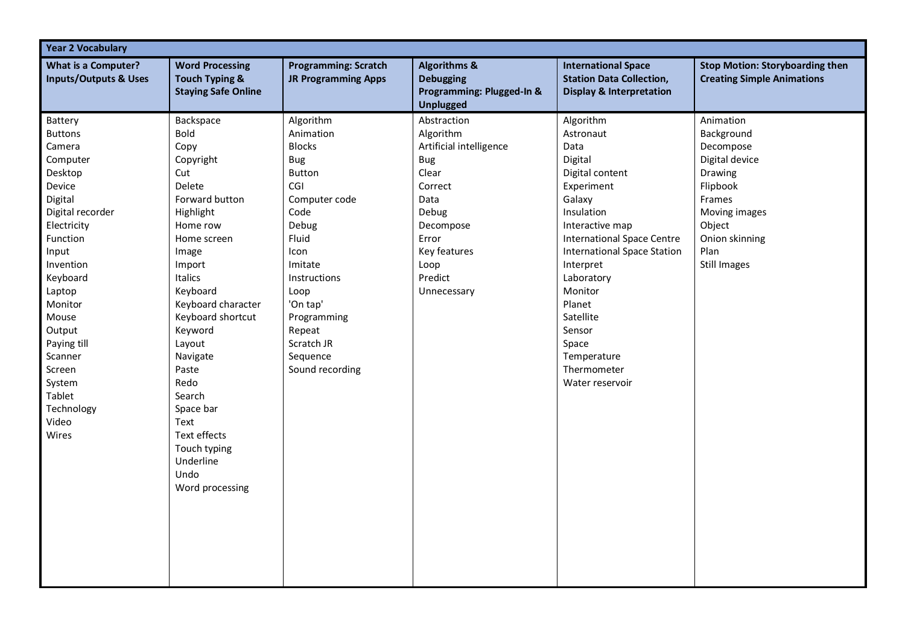| <b>Year 2 Vocabulary</b>                                                                                                                                                                                                                                                                         |                                                                                                                                                                                                                                                                                                                                                                        |                                                                                                                                                                                                                                         |                                                                                                                                                                                |                                                                                                                                                                                                                                                                                                                                   |                                                                                                                                                                     |  |
|--------------------------------------------------------------------------------------------------------------------------------------------------------------------------------------------------------------------------------------------------------------------------------------------------|------------------------------------------------------------------------------------------------------------------------------------------------------------------------------------------------------------------------------------------------------------------------------------------------------------------------------------------------------------------------|-----------------------------------------------------------------------------------------------------------------------------------------------------------------------------------------------------------------------------------------|--------------------------------------------------------------------------------------------------------------------------------------------------------------------------------|-----------------------------------------------------------------------------------------------------------------------------------------------------------------------------------------------------------------------------------------------------------------------------------------------------------------------------------|---------------------------------------------------------------------------------------------------------------------------------------------------------------------|--|
| <b>What is a Computer?</b><br><b>Inputs/Outputs &amp; Uses</b>                                                                                                                                                                                                                                   | <b>Word Processing</b><br><b>Touch Typing &amp;</b><br><b>Staying Safe Online</b>                                                                                                                                                                                                                                                                                      | <b>Programming: Scratch</b><br><b>JR Programming Apps</b>                                                                                                                                                                               | <b>Algorithms &amp;</b><br><b>Debugging</b><br>Programming: Plugged-In &<br><b>Unplugged</b>                                                                                   | <b>International Space</b><br><b>Station Data Collection,</b><br><b>Display &amp; Interpretation</b>                                                                                                                                                                                                                              | <b>Stop Motion: Storyboarding then</b><br><b>Creating Simple Animations</b>                                                                                         |  |
| Battery<br><b>Buttons</b><br>Camera<br>Computer<br>Desktop<br>Device<br>Digital<br>Digital recorder<br>Electricity<br>Function<br>Input<br>Invention<br>Keyboard<br>Laptop<br>Monitor<br>Mouse<br>Output<br>Paying till<br>Scanner<br>Screen<br>System<br>Tablet<br>Technology<br>Video<br>Wires | Backspace<br><b>Bold</b><br>Copy<br>Copyright<br>Cut<br>Delete<br>Forward button<br>Highlight<br>Home row<br>Home screen<br>Image<br>Import<br>Italics<br>Keyboard<br>Keyboard character<br>Keyboard shortcut<br>Keyword<br>Layout<br>Navigate<br>Paste<br>Redo<br>Search<br>Space bar<br>Text<br>Text effects<br>Touch typing<br>Underline<br>Undo<br>Word processing | Algorithm<br>Animation<br><b>Blocks</b><br>Bug<br>Button<br>CGI<br>Computer code<br>Code<br>Debug<br>Fluid<br>Icon<br>Imitate<br>Instructions<br>Loop<br>'On tap'<br>Programming<br>Repeat<br>Scratch JR<br>Sequence<br>Sound recording | Abstraction<br>Algorithm<br>Artificial intelligence<br><b>Bug</b><br>Clear<br>Correct<br>Data<br>Debug<br>Decompose<br>Error<br>Key features<br>Loop<br>Predict<br>Unnecessary | Algorithm<br>Astronaut<br>Data<br>Digital<br>Digital content<br>Experiment<br>Galaxy<br>Insulation<br>Interactive map<br><b>International Space Centre</b><br><b>International Space Station</b><br>Interpret<br>Laboratory<br>Monitor<br>Planet<br>Satellite<br>Sensor<br>Space<br>Temperature<br>Thermometer<br>Water reservoir | Animation<br>Background<br>Decompose<br>Digital device<br>Drawing<br>Flipbook<br>Frames<br>Moving images<br>Object<br>Onion skinning<br>Plan<br><b>Still Images</b> |  |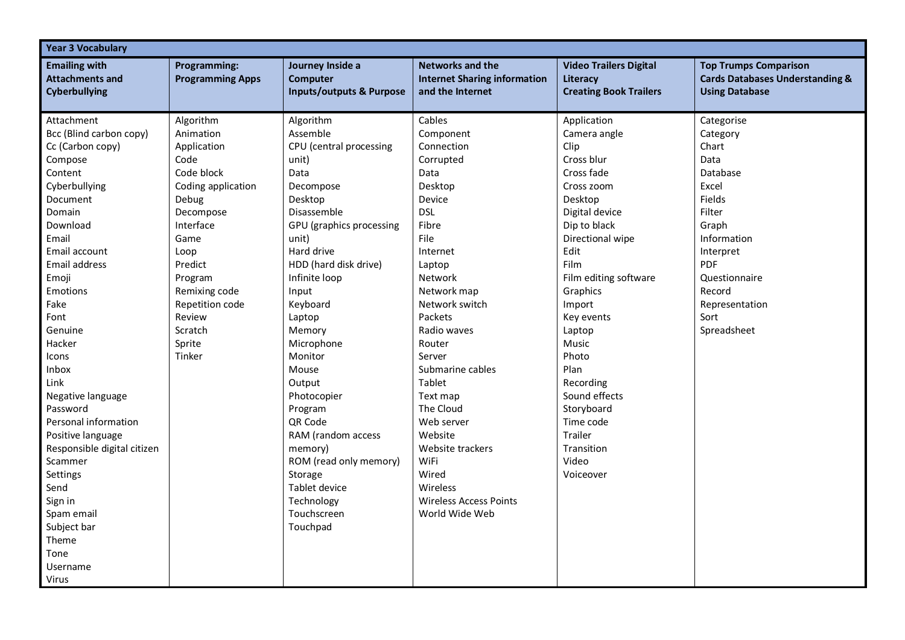| <b>Year 3 Vocabulary</b>                                                                                                                                                                                                                                                                                                                                                                                                                                                      |                                                                                                                                                                                                                                         |                                                                                                                                                                                                                                                                                                                                                                                                                                                                        |                                                                                                                                                                                                                                                                                                                                                                                                                |                                                                                                                                                                                                                                                                                                                                                                                |                                                                                                                                                                                                         |
|-------------------------------------------------------------------------------------------------------------------------------------------------------------------------------------------------------------------------------------------------------------------------------------------------------------------------------------------------------------------------------------------------------------------------------------------------------------------------------|-----------------------------------------------------------------------------------------------------------------------------------------------------------------------------------------------------------------------------------------|------------------------------------------------------------------------------------------------------------------------------------------------------------------------------------------------------------------------------------------------------------------------------------------------------------------------------------------------------------------------------------------------------------------------------------------------------------------------|----------------------------------------------------------------------------------------------------------------------------------------------------------------------------------------------------------------------------------------------------------------------------------------------------------------------------------------------------------------------------------------------------------------|--------------------------------------------------------------------------------------------------------------------------------------------------------------------------------------------------------------------------------------------------------------------------------------------------------------------------------------------------------------------------------|---------------------------------------------------------------------------------------------------------------------------------------------------------------------------------------------------------|
| <b>Emailing with</b><br><b>Attachments and</b><br><b>Cyberbullying</b>                                                                                                                                                                                                                                                                                                                                                                                                        | <b>Programming:</b><br><b>Programming Apps</b>                                                                                                                                                                                          | Journey Inside a<br><b>Computer</b><br><b>Inputs/outputs &amp; Purpose</b>                                                                                                                                                                                                                                                                                                                                                                                             | <b>Networks and the</b><br><b>Internet Sharing information</b><br>and the Internet                                                                                                                                                                                                                                                                                                                             | <b>Video Trailers Digital</b><br>Literacy<br><b>Creating Book Trailers</b>                                                                                                                                                                                                                                                                                                     | <b>Top Trumps Comparison</b><br><b>Cards Databases Understanding &amp;</b><br><b>Using Database</b>                                                                                                     |
| Attachment<br>Bcc (Blind carbon copy)<br>Cc (Carbon copy)<br>Compose<br>Content<br>Cyberbullying<br>Document<br>Domain<br>Download<br>Email<br>Email account<br><b>Email address</b><br>Emoji<br>Emotions<br>Fake<br>Font<br>Genuine<br>Hacker<br>Icons<br>Inbox<br>Link<br>Negative language<br>Password<br>Personal information<br>Positive language<br>Responsible digital citizen<br>Scammer<br>Settings<br>Send<br>Sign in<br>Spam email<br>Subject bar<br>Theme<br>Tone | Algorithm<br>Animation<br>Application<br>Code<br>Code block<br>Coding application<br>Debug<br>Decompose<br>Interface<br>Game<br>Loop<br>Predict<br>Program<br>Remixing code<br>Repetition code<br>Review<br>Scratch<br>Sprite<br>Tinker | Algorithm<br>Assemble<br>CPU (central processing<br>unit)<br>Data<br>Decompose<br>Desktop<br>Disassemble<br>GPU (graphics processing<br>unit)<br>Hard drive<br>HDD (hard disk drive)<br>Infinite loop<br>Input<br>Keyboard<br>Laptop<br>Memory<br>Microphone<br>Monitor<br>Mouse<br>Output<br>Photocopier<br>Program<br><b>QR Code</b><br>RAM (random access<br>memory)<br>ROM (read only memory)<br>Storage<br>Tablet device<br>Technology<br>Touchscreen<br>Touchpad | Cables<br>Component<br>Connection<br>Corrupted<br>Data<br>Desktop<br>Device<br><b>DSL</b><br>Fibre<br>File<br>Internet<br>Laptop<br>Network<br>Network map<br>Network switch<br>Packets<br>Radio waves<br>Router<br>Server<br>Submarine cables<br>Tablet<br>Text map<br>The Cloud<br>Web server<br>Website<br>Website trackers<br>WiFi<br>Wired<br>Wireless<br><b>Wireless Access Points</b><br>World Wide Web | Application<br>Camera angle<br>Clip<br>Cross blur<br>Cross fade<br>Cross zoom<br>Desktop<br>Digital device<br>Dip to black<br>Directional wipe<br>Edit<br>Film<br>Film editing software<br>Graphics<br>Import<br>Key events<br>Laptop<br>Music<br>Photo<br>Plan<br>Recording<br>Sound effects<br>Storyboard<br>Time code<br><b>Trailer</b><br>Transition<br>Video<br>Voiceover | Categorise<br>Category<br>Chart<br>Data<br>Database<br>Excel<br>Fields<br>Filter<br>Graph<br>Information<br>Interpret<br><b>PDF</b><br>Questionnaire<br>Record<br>Representation<br>Sort<br>Spreadsheet |
| Username<br><b>Virus</b>                                                                                                                                                                                                                                                                                                                                                                                                                                                      |                                                                                                                                                                                                                                         |                                                                                                                                                                                                                                                                                                                                                                                                                                                                        |                                                                                                                                                                                                                                                                                                                                                                                                                |                                                                                                                                                                                                                                                                                                                                                                                |                                                                                                                                                                                                         |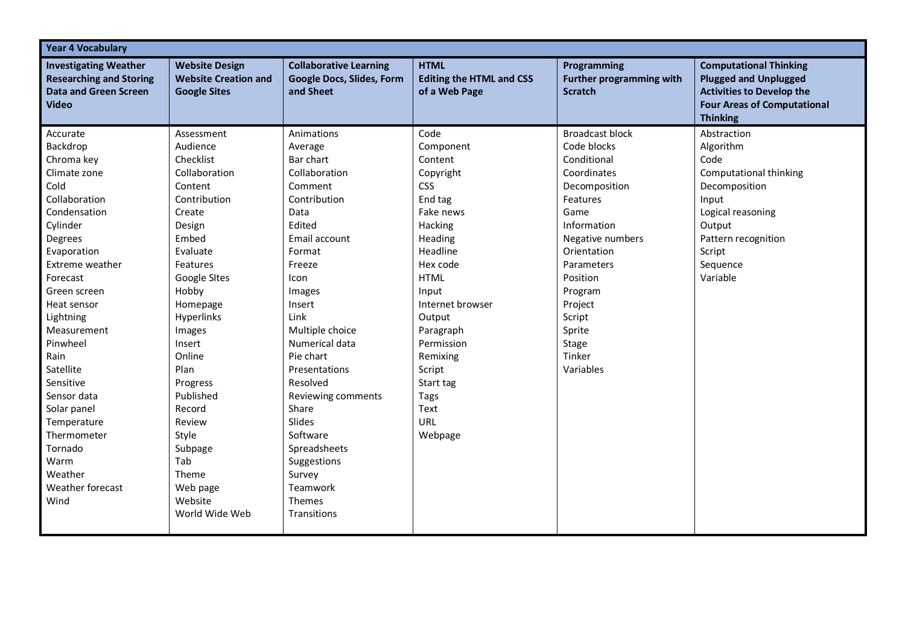| <b>Year 4 Vocabulary</b>                                                                                                                                                                                                                                                                                                                                                                        |                                                                                                                                                                                                                                                                                                                                                                |                                                                                                                                                                                                                                                                                                                                                                                             |                                                                                                                                                                                                                                                                                            |                                                                                                                                                                                                                                                                |                                                                                                                                                                              |
|-------------------------------------------------------------------------------------------------------------------------------------------------------------------------------------------------------------------------------------------------------------------------------------------------------------------------------------------------------------------------------------------------|----------------------------------------------------------------------------------------------------------------------------------------------------------------------------------------------------------------------------------------------------------------------------------------------------------------------------------------------------------------|---------------------------------------------------------------------------------------------------------------------------------------------------------------------------------------------------------------------------------------------------------------------------------------------------------------------------------------------------------------------------------------------|--------------------------------------------------------------------------------------------------------------------------------------------------------------------------------------------------------------------------------------------------------------------------------------------|----------------------------------------------------------------------------------------------------------------------------------------------------------------------------------------------------------------------------------------------------------------|------------------------------------------------------------------------------------------------------------------------------------------------------------------------------|
| <b>Investigating Weather</b><br><b>Researching and Storing</b><br><b>Data and Green Screen</b><br><b>Video</b>                                                                                                                                                                                                                                                                                  | <b>Website Design</b><br><b>Website Creation and</b><br><b>Google Sites</b>                                                                                                                                                                                                                                                                                    | <b>Collaborative Learning</b><br><b>Google Docs, Slides, Form</b><br>and Sheet                                                                                                                                                                                                                                                                                                              | <b>HTML</b><br><b>Editing the HTML and CSS</b><br>of a Web Page                                                                                                                                                                                                                            | Programming<br><b>Further programming with</b><br><b>Scratch</b>                                                                                                                                                                                               | <b>Computational Thinking</b><br><b>Plugged and Unplugged</b><br><b>Activities to Develop the</b><br><b>Four Areas of Computational</b><br><b>Thinking</b>                   |
| Accurate<br>Backdrop<br>Chroma key<br>Climate zone<br>Cold<br>Collaboration<br>Condensation<br>Cylinder<br>Degrees<br>Evaporation<br>Extreme weather<br>Forecast<br>Green screen<br>Heat sensor<br>Lightning<br>Measurement<br>Pinwheel<br>Rain<br>Satellite<br>Sensitive<br>Sensor data<br>Solar panel<br>Temperature<br>Thermometer<br>Tornado<br>Warm<br>Weather<br>Weather forecast<br>Wind | Assessment<br>Audience<br>Checklist<br>Collaboration<br>Content<br>Contribution<br>Create<br>Design<br>Embed<br>Evaluate<br>Features<br>Google Sites<br>Hobby<br>Homepage<br><b>Hyperlinks</b><br>Images<br>Insert<br>Online<br>Plan<br>Progress<br>Published<br>Record<br>Review<br>Style<br>Subpage<br>Tab<br>Theme<br>Web page<br>Website<br>World Wide Web | Animations<br>Average<br>Bar chart<br>Collaboration<br>Comment<br>Contribution<br>Data<br>Edited<br>Email account<br>Format<br>Freeze<br>Icon<br>Images<br>Insert<br>Link<br>Multiple choice<br>Numerical data<br>Pie chart<br>Presentations<br>Resolved<br>Reviewing comments<br>Share<br>Slides<br>Software<br>Spreadsheets<br>Suggestions<br>Survey<br>Teamwork<br>Themes<br>Transitions | Code<br>Component<br>Content<br>Copyright<br><b>CSS</b><br>End tag<br>Fake news<br>Hacking<br>Heading<br>Headline<br>Hex code<br><b>HTML</b><br>Input<br>Internet browser<br>Output<br>Paragraph<br>Permission<br>Remixing<br>Script<br>Start tag<br>Tags<br>Text<br><b>URL</b><br>Webpage | <b>Broadcast block</b><br>Code blocks<br>Conditional<br>Coordinates<br>Decomposition<br>Features<br>Game<br>Information<br>Negative numbers<br>Orientation<br>Parameters<br>Position<br>Program<br>Project<br>Script<br>Sprite<br>Stage<br>Tinker<br>Variables | Abstraction<br>Algorithm<br>Code<br>Computational thinking<br>Decomposition<br>Input<br>Logical reasoning<br>Output<br>Pattern recognition<br>Script<br>Sequence<br>Variable |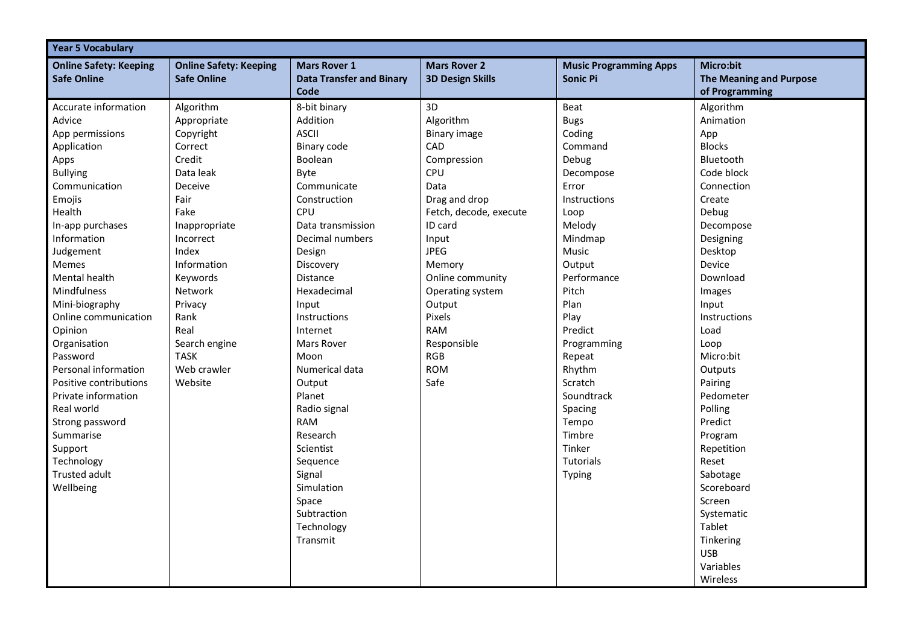| <b>Year 5 Vocabulary</b>                                                                                                                                                                 |                                                                                                                                    |                                                                                                                                                               |                                                                                                                                              |                                                                                                                  |                                                                                                                                                                                              |
|------------------------------------------------------------------------------------------------------------------------------------------------------------------------------------------|------------------------------------------------------------------------------------------------------------------------------------|---------------------------------------------------------------------------------------------------------------------------------------------------------------|----------------------------------------------------------------------------------------------------------------------------------------------|------------------------------------------------------------------------------------------------------------------|----------------------------------------------------------------------------------------------------------------------------------------------------------------------------------------------|
| <b>Online Safety: Keeping</b><br><b>Safe Online</b>                                                                                                                                      | <b>Online Safety: Keeping</b><br><b>Safe Online</b>                                                                                | <b>Mars Rover 1</b><br><b>Data Transfer and Binary</b><br>Code                                                                                                | <b>Mars Rover 2</b><br><b>3D Design Skills</b>                                                                                               | <b>Music Programming Apps</b><br>Sonic Pi                                                                        | Micro:bit<br><b>The Meaning and Purpose</b><br>of Programming                                                                                                                                |
| Accurate information<br>Advice<br>App permissions<br>Application<br>Apps<br><b>Bullying</b><br>Communication<br>Emojis<br>Health<br>In-app purchases                                     | Algorithm<br>Appropriate<br>Copyright<br>Correct<br>Credit<br>Data leak<br>Deceive<br>Fair<br>Fake<br>Inappropriate                | 8-bit binary<br>Addition<br><b>ASCII</b><br>Binary code<br>Boolean<br>Byte<br>Communicate<br>Construction<br>CPU<br>Data transmission                         | 3D<br>Algorithm<br><b>Binary image</b><br>CAD<br>Compression<br>CPU<br>Data<br>Drag and drop<br>Fetch, decode, execute<br>ID card            | Beat<br><b>Bugs</b><br>Coding<br>Command<br>Debug<br>Decompose<br>Error<br>Instructions<br>Loop<br>Melody        | Algorithm<br>Animation<br>App<br><b>Blocks</b><br>Bluetooth<br>Code block<br>Connection<br>Create<br>Debug<br>Decompose                                                                      |
| Information<br>Judgement<br><b>Memes</b><br><b>Mental health</b><br>Mindfulness<br>Mini-biography<br>Online communication<br>Opinion<br>Organisation<br>Password<br>Personal information | Incorrect<br>Index<br>Information<br>Keywords<br>Network<br>Privacy<br>Rank<br>Real<br>Search engine<br><b>TASK</b><br>Web crawler | Decimal numbers<br>Design<br>Discovery<br>Distance<br>Hexadecimal<br>Input<br>Instructions<br>Internet<br>Mars Rover<br>Moon<br>Numerical data                | Input<br><b>JPEG</b><br>Memory<br>Online community<br>Operating system<br>Output<br>Pixels<br>RAM<br>Responsible<br><b>RGB</b><br><b>ROM</b> | Mindmap<br>Music<br>Output<br>Performance<br>Pitch<br>Plan<br>Play<br>Predict<br>Programming<br>Repeat<br>Rhythm | Designing<br>Desktop<br>Device<br>Download<br>Images<br>Input<br>Instructions<br>Load<br>Loop<br>Micro:bit<br>Outputs                                                                        |
| Positive contributions<br>Private information<br>Real world<br>Strong password<br>Summarise<br>Support<br>Technology<br>Trusted adult<br>Wellbeing                                       | Website                                                                                                                            | Output<br>Planet<br>Radio signal<br><b>RAM</b><br>Research<br>Scientist<br>Sequence<br>Signal<br>Simulation<br>Space<br>Subtraction<br>Technology<br>Transmit | Safe                                                                                                                                         | Scratch<br>Soundtrack<br>Spacing<br>Tempo<br>Timbre<br>Tinker<br><b>Tutorials</b><br>Typing                      | Pairing<br>Pedometer<br>Polling<br>Predict<br>Program<br>Repetition<br>Reset<br>Sabotage<br>Scoreboard<br>Screen<br>Systematic<br>Tablet<br>Tinkering<br><b>USB</b><br>Variables<br>Wireless |